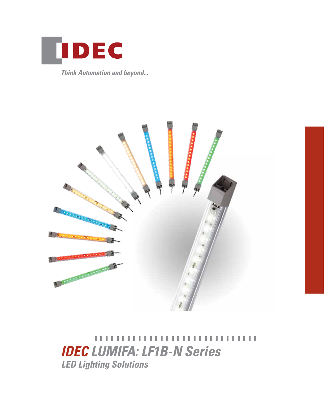

**Think Automation and beyond...** 



,,,,,,,,,,,,,,,,,,,,, **LETT** . . . . *IDEC LUMIFA: LF1B-N Series LED Lighting Solutions*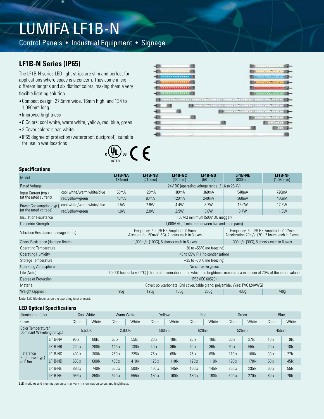# LUMIFA LF1B-N

Control Panels • Industrial Equipment • Signage

## **LF1B-N Series (IP65)**

The LF1B-N series LED light strips are slim and perfect for applications where space is a concern. They come in six different lengths and six distinct colors, making them a very flexible lighting solution.

- •Compact design: 27.5mm wide, 16mm high, and 134 to 1,080mm long
- •Improved brightness
- •6 Colors: cool white, warm white, yellow, red, blue, green
- •2 Cover colors: clear, white
- •IP65 degree of protection (waterproof, dustproof), suitable for use in wet locations



### **Specifications**

| Model                                |                            | <b>LF1B-NA</b><br>(134mm)                                                                                                                 | LF1B-NB<br>(210mm)                                                                            | LF1B-NC<br>(330mm)                                                                             | LF1B-ND<br>(580mm)             | LF1B-NE<br>(830mm) | LF1B-NF<br>(1,080mm) |  |  |
|--------------------------------------|----------------------------|-------------------------------------------------------------------------------------------------------------------------------------------|-----------------------------------------------------------------------------------------------|------------------------------------------------------------------------------------------------|--------------------------------|--------------------|----------------------|--|--|
| <b>Rated Voltage</b>                 |                            | 24V DC (operating voltage range: 21.6 to 26.4V)                                                                                           |                                                                                               |                                                                                                |                                |                    |                      |  |  |
| Input Current (typ.)                 | cool white/warm white/blue | 60 <sub>m</sub> A                                                                                                                         | 120 <sub>m</sub> A                                                                            | 180 <sub>m</sub> A                                                                             | 360mA                          | 540 <sub>m</sub> A | 720mA                |  |  |
| (at the rated current)               | red/yellow/green           | 40 <sub>m</sub> A                                                                                                                         | 80 <sub>m</sub> A                                                                             | 120 <sub>m</sub> A                                                                             | 240mA                          | 360mA              | 480mA                |  |  |
| Power Consumption (typ.)             | cool white/warm white/blue | 1.5W                                                                                                                                      | 2.9W                                                                                          | 4.4W                                                                                           | 8.7W                           | 13.0W              | 17.3W                |  |  |
| (at the rated voltage)               | red/yellow/green           | 1.0W                                                                                                                                      | 2.0W                                                                                          | 2.9W                                                                                           | 5.8W                           | 8.7W               | 11.6W                |  |  |
| Insulation Resistance                |                            |                                                                                                                                           |                                                                                               |                                                                                                | 100MΩ minimum (500V DC megger) |                    |                      |  |  |
| Dielectric Strength                  |                            | 1,000V AC, 1 minute (between live and dead parts)                                                                                         |                                                                                               |                                                                                                |                                |                    |                      |  |  |
| Vibration Resistance (damage limits) |                            |                                                                                                                                           | Frequency: 5 to 55 Hz, Amplitude 0.5mm<br>Acceleration $60m/s^2(6G)$ , 2 hours each in 3 axes | Frequency: 5 to 55 Hz, Amplitude 0.17mm<br>Acceleration $20m/s^2$ (2G), 2 hours each in 3 axes |                                |                    |                      |  |  |
| Shock Resistance (damage limits)     |                            | $1,000$ m/s <sup>2</sup> (100G), 5 shocks each in 6 axes<br>$300 \text{m/s}^2 (30G)$ , 5 shocks each in 6 axes                            |                                                                                               |                                                                                                |                                |                    |                      |  |  |
| <b>Operating Temperature</b>         |                            | $-30$ to +55 $\degree$ C (no freezing)                                                                                                    |                                                                                               |                                                                                                |                                |                    |                      |  |  |
| <b>Operating Humidity</b>            |                            | 45 to 85% RH (no condensation)                                                                                                            |                                                                                               |                                                                                                |                                |                    |                      |  |  |
| Storage Temperature                  |                            | $-35$ to +70 $\degree$ C (no freezing)                                                                                                    |                                                                                               |                                                                                                |                                |                    |                      |  |  |
| <b>Operating Atmosphere</b>          |                            | No corrosive gases                                                                                                                        |                                                                                               |                                                                                                |                                |                    |                      |  |  |
| Life (Note)                          |                            | 40,000 hours (Ta = $25^{\circ}$ C) (The total illumination life in which the brightness maintains a minimum of 70% of the initial value.) |                                                                                               |                                                                                                |                                |                    |                      |  |  |
| Degree of Protection                 |                            | IP65 (IEC 60529)                                                                                                                          |                                                                                               |                                                                                                |                                |                    |                      |  |  |
| Material                             |                            | Cover: polycarbonate, End cover/cable gland: polyamide, Wire: PVC (24AWG)                                                                 |                                                                                               |                                                                                                |                                |                    |                      |  |  |
| Weight (approx.)                     |                            | 95g                                                                                                                                       | 125g                                                                                          | 165g                                                                                           | 255g                           | 430q               | 740g                 |  |  |

Note: LED life depends on the operating environment.

#### **LED Optical Specifications**

| <b>Illumination Color</b>                        |         |                   | Cool White        | Warm White        |                             |                                 | Yellow            |                   | Red              | Green             |                   |                  | <b>Blue</b>      |
|--------------------------------------------------|---------|-------------------|-------------------|-------------------|-----------------------------|---------------------------------|-------------------|-------------------|------------------|-------------------|-------------------|------------------|------------------|
| Cover                                            |         | Clear             | White             | Clear             | White                       | Clear                           | White             | Clear             | White            | Clear             | White             | Clear            | White            |
| Color Temperature/<br>Dominant Wavelength (typ.) |         |                   | 5.500K            |                   | 2.900K<br>590 <sub>nm</sub> |                                 | 620nm             |                   | 525nm            |                   | 455nm             |                  |                  |
|                                                  | LF1B-NA | 90 <sub>dx</sub>  | 80 <sub>lx</sub>  | 60 <sub>lx</sub>  | 55                          | 20 <sub>1</sub>                 | 18 <sub>x</sub>   | 20 <sub>1</sub>   | 18 <sub>x</sub>  | 30 <sub>xx</sub>  | 27 <sub>l</sub>   | 10 <sub>1</sub>  | 9 <sub>x</sub>   |
|                                                  | LF1B-NB | 220 <sub>lx</sub> | 200 <sub>lx</sub> | $145$ $x$         | 130 <sub>lx</sub>           | 40 <sub>ix</sub>                | 36x               | 40 <sub>1</sub>   | 36x              | 60 <sub>lx</sub>  | 55                | 20 <sub>ix</sub> | 18 <sub>x</sub>  |
| Reference                                        | LF1B-NC | 400lx             | 360 <sub>x</sub>  | 250 <sub>lx</sub> | 225 <sub>lx</sub>           | $75$ <sub>x</sub>               | 65x               | $75$ <sub>x</sub> | 65 <sub>lx</sub> | 110 <sub>1</sub>  | 100 <sub>x</sub>  | 30 <sub>dx</sub> | 27k              |
| Brightness (typ.)<br>at $0.5m$                   | LF1B-ND | 660lx             | 600lx             | 455 lx            | 410 <sub>x</sub>            | $125$ <sub><math>x</math></sub> | 110 <sub>lx</sub> | 125 <sub>ix</sub> | 110 <sub>x</sub> | 190 <sub>lx</sub> | 170 <sub>lx</sub> | 50 <sub>ix</sub> | 45k              |
|                                                  | LF1B-NE | 820lx             | 740 <sub>x</sub>  | 560lx             | 500lx                       | 160 <sub>x</sub>                | 145x              | 160 <sub>lx</sub> | 145              | 260 <sub>x</sub>  | 235 lx            | 60 <sub>lx</sub> | 55k              |
|                                                  | LF1B-NF | 935 <sub>lx</sub> | 850 <sub>x</sub>  | 620lx             | 555 lx                      | 180 <sub>x</sub>                | 160 <sub>lx</sub> | 180 <sub>x</sub>  | 160 <sub>x</sub> | 300 <sub>lx</sub> | 270 <sub>x</sub>  | 80 <sub>x</sub>  | 70 <sub>ix</sub> |

LED modules and illumination units may vary in illumination colors and brightness.

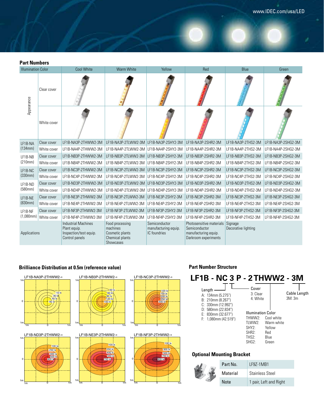J

**Part Numbers**

| <b>Illumination Color</b> |             | <b>Cool White</b>                                                                      | <b>Warm White</b>                                                              | Yellow                                                | Red                                                                                       | Blue                           | Green              |
|---------------------------|-------------|----------------------------------------------------------------------------------------|--------------------------------------------------------------------------------|-------------------------------------------------------|-------------------------------------------------------------------------------------------|--------------------------------|--------------------|
| Appearance                | Clear cover |                                                                                        |                                                                                |                                                       |                                                                                           |                                |                    |
|                           | White cover |                                                                                        |                                                                                |                                                       |                                                                                           |                                |                    |
| LF1B-NA                   | Clear cover | LF1B-NA3P-2THWW2-3M                                                                    | LF1B-NA3P-2TLWW2-3M                                                            | LF1B-NA3P-2SHY2-3M                                    | LF1B-NA3P-2SHR2-3M                                                                        | LF1B-NA3P-2THS2-3M             | LF1B-NA3P-2SHG2-3M |
| (134mm)                   | White cover | LF1B-NA4P-2THWW2-3M                                                                    | LF1B-NA4P-2TLWW2-3M                                                            | LF1B-NA4P-2SHY2-3M                                    | LF1B-NA4P-2SHR2-3M                                                                        | LF1B-NA4P-2THS2-3M             | LF1B-NA4P-2SHG2-3M |
| LF1B-NB                   | Clear cover | LF1B-NB3P-2THWW2-3M                                                                    | LF1B-NB3P-2TLWW2-3M                                                            | LF1B-NB3P-2SHY2-3M                                    | LF1B-NB3P-2SHR2-3M                                                                        | LF1B-NB3P-2THS2-3M             | LF1B-NB3P-2SHG2-3M |
| (210mm)                   | White cover | LF1B-NB4P-2THWW2-3M                                                                    | LF1B-NB4P-2TLWW2-3M                                                            | LF1B-NB4P-2SHY2-3M                                    | LF1B-NB4P-2SHR2-3M                                                                        | LF1B-NB4P-2THS2-3M             | LF1B-NB4P-2SHG2-3M |
| LF1B-NC                   | Clear cover | LF1B-NC3P-2THWW2-3M                                                                    | LF1B-NC3P-2TLWW2-3M                                                            | LF1B-NC3P-2SHY2-3M                                    | LF1B-NC3P-2SHR2-3M                                                                        | LF1B-NC3P-2THS2-3M             | LF1B-NC3P-2SHG2-3M |
| (330mm)                   | White cover | LF1B-NC4P-2THWW2-3M                                                                    | LF1B-NC4P-2TLWW2-3M                                                            | LF1B-NC4P-2SHY2-3M                                    | LF1B-NC4P-2SHR2-3M                                                                        | LF1B-NC4P-2THS2-3M             | LF1B-NC4P-2SHG2-3M |
| LF1B-ND                   | Clear cover | LF1B-ND3P-2THWW2-3M                                                                    | LF1B-ND3P-2TLWW2-3M                                                            | LF1B-ND3P-2SHY2-3M                                    | LF1B-ND3P-2SHR2-3M                                                                        | LF1B-ND3P-2THS2-3M             | LF1B-ND3P-2SHG2-3M |
| (580mm)                   | White cover | LF1B-ND4P-2THWW2-3M                                                                    | LF1B-ND4P-2TLWW2-3M                                                            | LF1B-ND4P-2SHY2-3M                                    | LF1B-ND4P-2SHR2-3M                                                                        | LF1B-ND4P-2THS2-3M             | LF1B-ND4P-2SHG2-3M |
| LF1B-NE                   | Clear cover | LF1B-NE3P-2THWW2-3M                                                                    | LF1B-NE3P-2TLWW2-3M                                                            | LF1B-NE3P-2SHY2-3M                                    | LF1B-NE3P-2SHR2-3M                                                                        | LF1B-NE3P-2THS2-3M             | LF1B-NE3P-2SHG2-3M |
| (830mm)                   | White cover | LF1B-NE4P-2THWW2-3M                                                                    | LF1B-NE4P-2TLWW2-3M                                                            | LF1B-NE4P-2SHY2-3M                                    | LF1B-NE4P-2SHR2-3M                                                                        | LF1B-NE4P-2THS2-3M             | LF1B-NE4P-2SHG2-3M |
| LF1B-NF                   | Clear cover | LF1B-NF3P-2THWW2-3M                                                                    | LF1B-NF3P-2TLWW2-3M                                                            | LF1B-NF3P-2SHY2-3M                                    | LF1B-NF3P-2SHR2-3M                                                                        | LF1B-NF3P-2THS2-3M             | LF1B-NF3P-2SHG2-3M |
| $(1,080$ mm $)$           | White cover | LF1B-NF4P-2THWW2-3M                                                                    | LF1B-NF4P-2TLWW2-3M                                                            | LF1B-NF4P-2SHY2-3M                                    | LF1B-NF4P-2SHR2-3M                                                                        | LF1B-NF4P-2THS2-3M             | LF1B-NF4P-2SHG2-3M |
| Applications              |             | <b>Industrial Machines</b><br>Plant equip.<br>Inspection/test equip.<br>Control panels | Food processing<br>machines<br>Cosmetic plants<br>Chemical plants<br>Showcases | Semiconductor<br>manufacturing equip.<br>IC foundries | Photosensitive materials<br>Semiconductor<br>manufacturing equip.<br>Darkroom experiments | Signage<br>Decorative lighting |                    |

### **Brilliance Distribution at 0.5m (reference value)**



#### **Part Number Structure**

| <b>LF1B - NC 3 P - 2THWW2 - 3M</b><br>Length<br>A: 134mm (5.275")<br>$B: 210$ mm $(8.267")$<br>$C: 330$ mm $(12.992")$ | Cover<br>3: Clear<br>4: White                                                                 |                                                            | <b>Cable Length</b><br>3M:3m |
|------------------------------------------------------------------------------------------------------------------------|-----------------------------------------------------------------------------------------------|------------------------------------------------------------|------------------------------|
| $D: 580$ mm (22.834")<br>$E: 830$ mm $(32.677")$<br>$F: 1.080$ mm $(42.519")$                                          | <b>Illumination Color</b><br>THWW2 <sup>-</sup><br>TI WW2.<br>SHY2<br>SHR2:<br>THS2:<br>SHG2: | Cool white<br>Warm white<br>Yellow<br>Red<br>Blue<br>Green |                              |
| Optional Mounting Bracket                                                                                              |                                                                                               |                                                            |                              |

#### **Optional Mounting Bracket**

| Part No.    | I F97-1MB1             |  |  |
|-------------|------------------------|--|--|
| Material    | Stainless Steel        |  |  |
| <b>Note</b> | 1 pair, Left and Right |  |  |